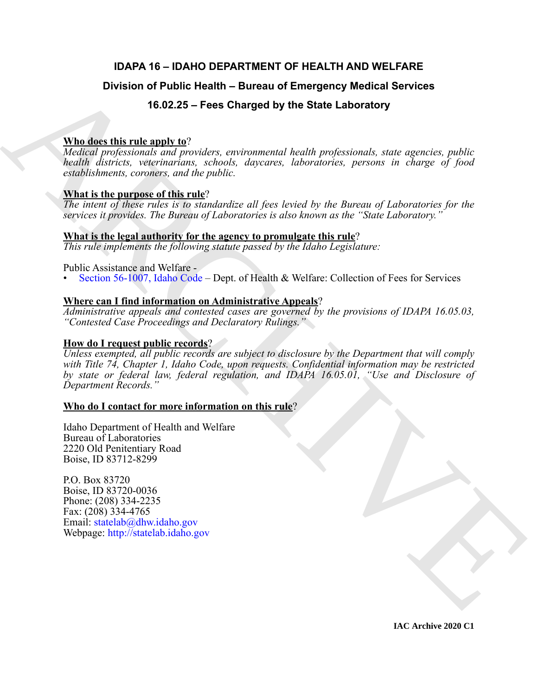# **IDAPA 16 – IDAHO DEPARTMENT OF HEALTH AND WELFARE**

# **Division of Public Health – Bureau of Emergency Medical Services**

# **16.02.25 – Fees Charged by the State Laboratory**

### **Who does this rule apply to**?

*Medical professionals and providers, environmental health professionals, state agencies, public health districts, veterinarians, schools, daycares, laboratories, persons in charge of food establishments, coroners, and the public.*

### **What is the purpose of this rule**?

*The intent of these rules is to standardize all fees levied by the Bureau of Laboratories for the services it provides. The Bureau of Laboratories is also known as the "State Laboratory."*

### **What is the legal authority for the agency to promulgate this rule**?

*This rule implements the following statute passed by the Idaho Legislature:*

#### Public Assistance and Welfare -

• Section 56-1007, Idaho Code – Dept. of Health & Welfare: Collection of Fees for Services

### **Where can I find information on Administrative Appeals**?

*Administrative appeals and contested cases are governed by the provisions of IDAPA 16.05.03, "Contested Case Proceedings and Declaratory Rulings."*

### **How do I request public records**?

Division of Public Health – Bureau of Emergency Medical Services<br>
16.02.25 – Foss Charges by the State Laboratory<br>
What disc this relevants continues any component health professional, state expecter, public health discus *Unless exempted, all public records are subject to disclosure by the Department that will comply with Title 74, Chapter 1, Idaho Code, upon requests. Confidential information may be restricted by state or federal law, federal regulation, and IDAPA 16.05.01, "Use and Disclosure of Department Records."*

#### **Who do I contact for more information on this rule**?

Idaho Department of Health and Welfare Bureau of Laboratories 2220 Old Penitentiary Road Boise, ID 83712-8299

P.O. Box 83720 Boise, ID 83720-0036 Phone: (208) 334-2235 Fax: (208) 334-4765 Email: statelab@dhw.idaho.gov Webpage: http://statelab.idaho.gov

**IAC Archive 2020 C1**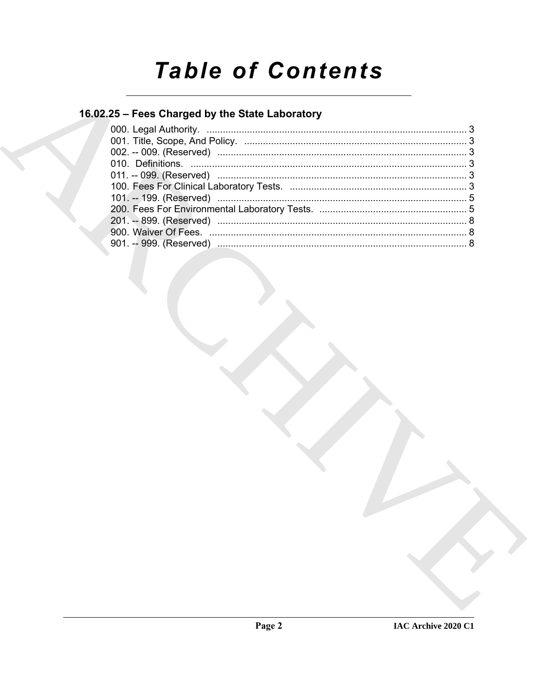# **Table of Contents**

# 16.02.25 - Fees Charged by the State Laboratory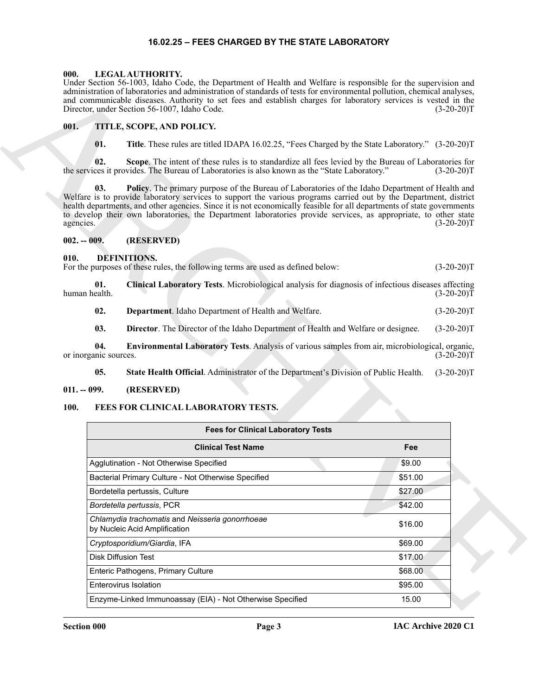#### **16.02.25 – FEES CHARGED BY THE STATE LABORATORY**

#### <span id="page-2-14"></span><span id="page-2-1"></span><span id="page-2-0"></span>**000. LEGAL AUTHORITY.**

#### <span id="page-2-15"></span><span id="page-2-2"></span>**001. TITLE, SCOPE, AND POLICY.**

#### <span id="page-2-3"></span>**002. -- 009. (RESERVED)**

#### <span id="page-2-10"></span><span id="page-2-9"></span><span id="page-2-8"></span><span id="page-2-7"></span><span id="page-2-4"></span>**010. DEFINITIONS.**

#### <span id="page-2-12"></span><span id="page-2-11"></span><span id="page-2-5"></span>**011. -- 099. (RESERVED)**

#### <span id="page-2-13"></span><span id="page-2-6"></span>**100. FEES FOR CLINICAL LABORATORY TESTS.**

|                                   | Under Section 56-1003, Idaho Code, the Department of Health and Welfare is responsible for the supervision and<br>administration of laboratories and administration of standards of tests for environmental pollution, chemical analyses,<br>and communicable diseases. Authority to set fees and establish charges for laboratory services is vested in the<br>Director, under Section 56-1007, Idaho Code.                                                      | $(3-20-20)T$ |  |
|-----------------------------------|-------------------------------------------------------------------------------------------------------------------------------------------------------------------------------------------------------------------------------------------------------------------------------------------------------------------------------------------------------------------------------------------------------------------------------------------------------------------|--------------|--|
| 001.                              | TITLE, SCOPE, AND POLICY.                                                                                                                                                                                                                                                                                                                                                                                                                                         |              |  |
| 01.                               | Title. These rules are titled IDAPA 16.02.25, "Fees Charged by the State Laboratory." (3-20-20)T                                                                                                                                                                                                                                                                                                                                                                  |              |  |
| 02.                               | Scope. The intent of these rules is to standardize all fees levied by the Bureau of Laboratories for<br>the services it provides. The Bureau of Laboratories is also known as the "State Laboratory."                                                                                                                                                                                                                                                             | $(3-20-20)T$ |  |
| 03.<br>agencies.<br>$002. - 009.$ | Policy. The primary purpose of the Bureau of Laboratories of the Idaho Department of Health and<br>Welfare is to provide laboratory services to support the various programs carried out by the Department, district<br>health departments, and other agencies. Since it is not economically feasible for all departments of state governments<br>to develop their own laboratories, the Department laboratories provide services, as appropriate, to other state | $(3-20-20)T$ |  |
|                                   | (RESERVED)                                                                                                                                                                                                                                                                                                                                                                                                                                                        |              |  |
| 010.                              | <b>DEFINITIONS.</b><br>For the purposes of these rules, the following terms are used as defined below:                                                                                                                                                                                                                                                                                                                                                            | $(3-20-20)T$ |  |
| 01.<br>human health.              | Clinical Laboratory Tests. Microbiological analysis for diagnosis of infectious diseases affecting                                                                                                                                                                                                                                                                                                                                                                | $(3-20-20)T$ |  |
| 02.                               | Department. Idaho Department of Health and Welfare.                                                                                                                                                                                                                                                                                                                                                                                                               | $(3-20-20)T$ |  |
| 03.                               | Director. The Director of the Idaho Department of Health and Welfare or designee.                                                                                                                                                                                                                                                                                                                                                                                 | $(3-20-20)T$ |  |
| 04.<br>or inorganic sources.      | Environmental Laboratory Tests. Analysis of various samples from air, microbiological, organic,                                                                                                                                                                                                                                                                                                                                                                   | $(3-20-20)T$ |  |
| 05.                               | State Health Official. Administrator of the Department's Division of Public Health.                                                                                                                                                                                                                                                                                                                                                                               | $(3-20-20)T$ |  |
| $011. - 099.$                     | (RESERVED)                                                                                                                                                                                                                                                                                                                                                                                                                                                        |              |  |
| 100.                              | FEES FOR CLINICAL LABORATORY TESTS.                                                                                                                                                                                                                                                                                                                                                                                                                               |              |  |
|                                   | <b>Fees for Clinical Laboratory Tests</b>                                                                                                                                                                                                                                                                                                                                                                                                                         |              |  |
|                                   | <b>Clinical Test Name</b>                                                                                                                                                                                                                                                                                                                                                                                                                                         | Fee          |  |
|                                   | Agglutination - Not Otherwise Specified                                                                                                                                                                                                                                                                                                                                                                                                                           | \$9.00       |  |
|                                   | Bacterial Primary Culture - Not Otherwise Specified                                                                                                                                                                                                                                                                                                                                                                                                               | \$51.00      |  |
|                                   | Bordetella pertussis, Culture                                                                                                                                                                                                                                                                                                                                                                                                                                     | \$27.00      |  |
|                                   | Bordetella pertussis, PCR                                                                                                                                                                                                                                                                                                                                                                                                                                         | \$42.00      |  |
|                                   | Chlamydia trachomatis and Neisseria gonorrhoeae<br>by Nucleic Acid Amplification                                                                                                                                                                                                                                                                                                                                                                                  | \$16.00      |  |
|                                   | Cryptosporidium/Giardia, IFA                                                                                                                                                                                                                                                                                                                                                                                                                                      | \$69.00      |  |
|                                   | <b>Disk Diffusion Test</b>                                                                                                                                                                                                                                                                                                                                                                                                                                        | \$17.00      |  |
|                                   | Enteric Pathogens, Primary Culture                                                                                                                                                                                                                                                                                                                                                                                                                                | \$68.00      |  |
|                                   | <b>Enterovirus Isolation</b>                                                                                                                                                                                                                                                                                                                                                                                                                                      | \$95.00      |  |
|                                   | Enzyme-Linked Immunoassay (EIA) - Not Otherwise Specified                                                                                                                                                                                                                                                                                                                                                                                                         | 15.00        |  |
|                                   |                                                                                                                                                                                                                                                                                                                                                                                                                                                                   |              |  |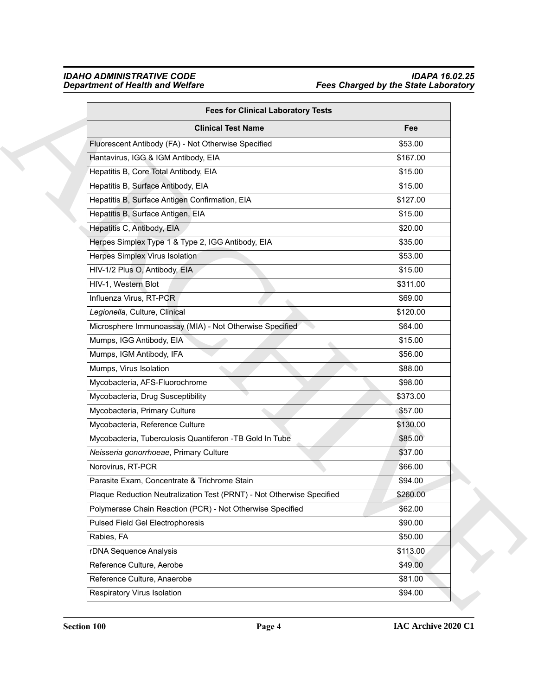| <b>Fees for Clinical Laboratory Tests</b>                             |          |
|-----------------------------------------------------------------------|----------|
| <b>Clinical Test Name</b>                                             | Fee      |
| Fluorescent Antibody (FA) - Not Otherwise Specified                   | \$53.00  |
| Hantavirus, IGG & IGM Antibody, EIA                                   | \$167.00 |
| Hepatitis B, Core Total Antibody, EIA                                 | \$15.00  |
| Hepatitis B, Surface Antibody, EIA                                    | \$15.00  |
| Hepatitis B, Surface Antigen Confirmation, EIA                        | \$127.00 |
| Hepatitis B, Surface Antigen, EIA                                     | \$15.00  |
| Hepatitis C, Antibody, EIA                                            | \$20.00  |
| Herpes Simplex Type 1 & Type 2, IGG Antibody, EIA                     | \$35.00  |
| Herpes Simplex Virus Isolation                                        | \$53.00  |
| HIV-1/2 Plus O, Antibody, EIA                                         | \$15.00  |
| HIV-1, Western Blot                                                   | \$311.00 |
| Influenza Virus, RT-PCR                                               | \$69.00  |
| Legionella, Culture, Clinical                                         | \$120.00 |
| Microsphere Immunoassay (MIA) - Not Otherwise Specified               | \$64.00  |
| Mumps, IGG Antibody, EIA                                              | \$15.00  |
| Mumps, IGM Antibody, IFA                                              | \$56.00  |
| Mumps, Virus Isolation                                                | \$88.00  |
| Mycobacteria, AFS-Fluorochrome                                        | \$98.00  |
| Mycobacteria, Drug Susceptibility                                     | \$373.00 |
| Mycobacteria, Primary Culture                                         | \$57.00  |
| Mycobacteria, Reference Culture                                       | \$130.00 |
| Mycobacteria, Tuberculosis Quantiferon -TB Gold In Tube               | \$85.00  |
| Neisseria gonorrhoeae, Primary Culture                                | \$37.00  |
| Norovirus, RT-PCR                                                     | \$66.00  |
| Parasite Exam, Concentrate & Trichrome Stain                          | \$94.00  |
| Plaque Reduction Neutralization Test (PRNT) - Not Otherwise Specified | \$260.00 |
| Polymerase Chain Reaction (PCR) - Not Otherwise Specified             | \$62.00  |
| Pulsed Field Gel Electrophoresis                                      | \$90.00  |
| Rabies, FA                                                            | \$50.00  |
| rDNA Sequence Analysis                                                | \$113.00 |
| Reference Culture, Aerobe                                             | \$49.00  |
| Reference Culture, Anaerobe                                           | \$81.00  |
| Respiratory Virus Isolation                                           | \$94.00  |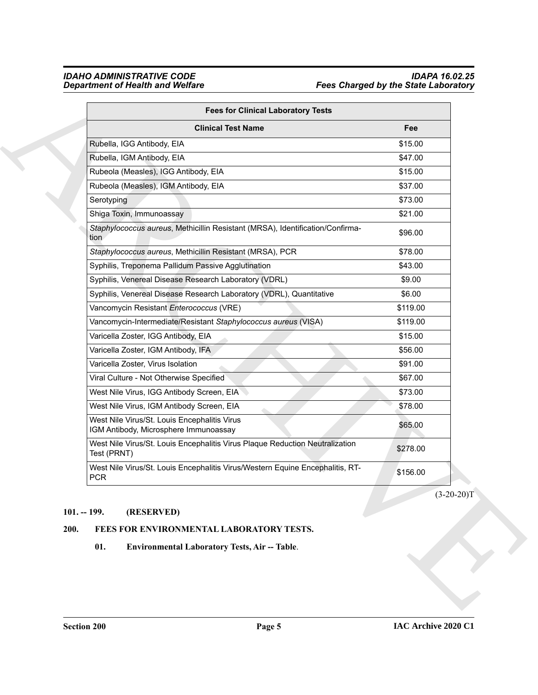| <b>Fees for Clinical Laboratory Tests</b>                                                   |              |
|---------------------------------------------------------------------------------------------|--------------|
| <b>Clinical Test Name</b>                                                                   | Fee          |
| Rubella, IGG Antibody, EIA                                                                  | \$15.00      |
| Rubella, IGM Antibody, EIA                                                                  | \$47.00      |
| Rubeola (Measles), IGG Antibody, EIA                                                        | \$15.00      |
| Rubeola (Measles), IGM Antibody, EIA                                                        | \$37.00      |
| Serotyping                                                                                  | \$73.00      |
| Shiga Toxin, Immunoassay                                                                    | \$21.00      |
| Staphylococcus aureus, Methicillin Resistant (MRSA), Identification/Confirma-<br>tion       | \$96.00      |
| Staphylococcus aureus, Methicillin Resistant (MRSA), PCR                                    | \$78.00      |
| Syphilis, Treponema Pallidum Passive Agglutination                                          | \$43.00      |
| Syphilis, Venereal Disease Research Laboratory (VDRL)                                       | \$9.00       |
| Syphilis, Venereal Disease Research Laboratory (VDRL), Quantitative                         | \$6.00       |
| Vancomycin Resistant Enterococcus (VRE)                                                     | \$119.00     |
| Vancomycin-Intermediate/Resistant Staphylococcus aureus (VISA)                              | \$119.00     |
| Varicella Zoster, IGG Antibody, EIA                                                         | \$15.00      |
| Varicella Zoster, IGM Antibody, IFA                                                         | \$56.00      |
| Varicella Zoster, Virus Isolation                                                           | \$91.00      |
| Viral Culture - Not Otherwise Specified                                                     | \$67.00      |
| West Nile Virus, IGG Antibody Screen, EIA                                                   | \$73.00      |
| West Nile Virus, IGM Antibody Screen, EIA                                                   | \$78.00      |
| West Nile Virus/St. Louis Encephalitis Virus<br>IGM Antibody, Microsphere Immunoassay       | \$65.00      |
| West Nile Virus/St. Louis Encephalitis Virus Plaque Reduction Neutralization<br>Test (PRNT) | \$278.00     |
| West Nile Virus/St. Louis Encephalitis Virus/Western Equine Encephalitis, RT-<br><b>PCR</b> | \$156.00     |
|                                                                                             | $(3-20-20)T$ |
| $101. - 199.$<br>(RESERVED)                                                                 |              |
| 200.<br>FEES FOR ENVIRONMENTAL LABORATORY TESTS.                                            |              |
| 01.<br>Environmental Laboratory Tests, Air -- Table.                                        |              |
|                                                                                             |              |
|                                                                                             |              |

# <span id="page-4-0"></span>**101. -- 199. (RESERVED)**

#### <span id="page-4-3"></span><span id="page-4-2"></span><span id="page-4-1"></span>**200. FEES FOR ENVIRONMENTAL LABORATORY TESTS.**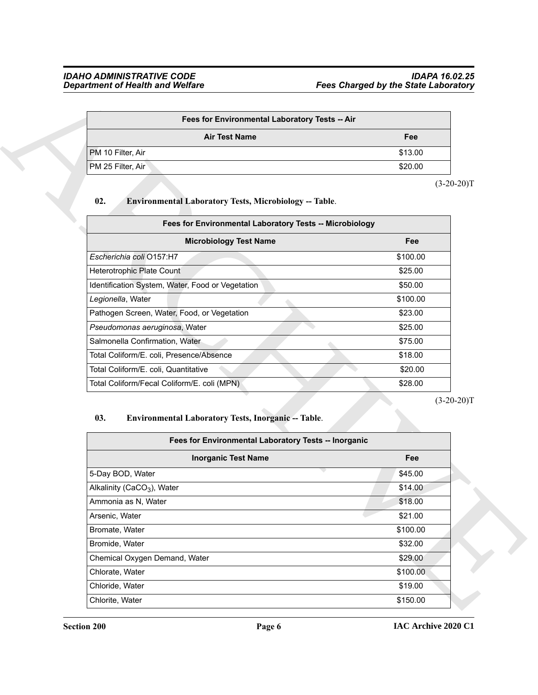| Fee     |
|---------|
| \$13.00 |
| \$20.00 |
|         |

#### <span id="page-5-1"></span>**02. Environmental Laboratory Tests, Microbiology -- Table**.

| <b>Department of Health and Welfare</b>                              | <b>Fees Charged by the State Laboratory</b>             |
|----------------------------------------------------------------------|---------------------------------------------------------|
|                                                                      | Fees for Environmental Laboratory Tests -- Air          |
| <b>Air Test Name</b>                                                 | Fee                                                     |
| PM 10 Filter, Air                                                    | \$13.00                                                 |
| PM 25 Filter, Air                                                    | \$20.00                                                 |
|                                                                      | $(3-20-20)T$                                            |
| 02.<br><b>Environmental Laboratory Tests, Microbiology -- Table.</b> |                                                         |
|                                                                      |                                                         |
|                                                                      | Fees for Environmental Laboratory Tests -- Microbiology |
| <b>Microbiology Test Name</b>                                        | Fee                                                     |
| Escherichia coli O157:H7                                             | \$100.00                                                |
| Heterotrophic Plate Count                                            | \$25.00                                                 |
| Identification System, Water, Food or Vegetation                     | \$50.00                                                 |
| Legionella, Water                                                    | \$100.00                                                |
| Pathogen Screen, Water, Food, or Vegetation                          | \$23.00                                                 |
| Pseudomonas aeruginosa, Water                                        | \$25.00                                                 |
| Salmonella Confirmation, Water                                       | \$75.00                                                 |
| Total Coliform/E. coli, Presence/Absence                             | \$18.00                                                 |
| Total Coliform/E. coli, Quantitative                                 | \$20.00                                                 |
| Total Coliform/Fecal Coliform/E. coli (MPN)                          | \$28.00                                                 |
|                                                                      | $(3-20-20)T$                                            |
| Environmental Laboratory Tests, Inorganic -- Table.<br>03.           |                                                         |
|                                                                      | Fees for Environmental Laboratory Tests -- Inorganic    |
| <b>Inorganic Test Name</b>                                           | Fee                                                     |
| 5-Day BOD, Water                                                     | \$45.00                                                 |
| Alkalinity (CaCO <sub>3</sub> ), Water                               | \$14.00                                                 |
| Ammonia as N, Water                                                  | \$18.00                                                 |
| Arsenic, Water                                                       | \$21.00                                                 |
| Bromate, Water                                                       | \$100.00                                                |
| Bromide, Water                                                       | \$32.00                                                 |
| Chemical Oxygen Demand, Water                                        | \$29.00                                                 |
| Chlorate, Water                                                      | \$100.00                                                |
|                                                                      |                                                         |
| Chloride, Water                                                      | \$19.00                                                 |

#### <span id="page-5-0"></span>03. Environmental Laboratory Tests, Inorganic -- Table.

| Fees for Environmental Laboratory Tests -- Inorganic |          |
|------------------------------------------------------|----------|
| <b>Inorganic Test Name</b>                           | Fee      |
| 5-Day BOD, Water                                     | \$45.00  |
| Alkalinity (CaCO <sub>3</sub> ), Water               | \$14.00  |
| Ammonia as N. Water                                  | \$18.00  |
| Arsenic, Water                                       | \$21.00  |
| Bromate, Water                                       | \$100.00 |
| Bromide, Water                                       | \$32.00  |
| Chemical Oxygen Demand, Water                        | \$29.00  |
| Chlorate, Water                                      | \$100.00 |
| Chloride, Water                                      | \$19.00  |
| Chlorite, Water                                      | \$150.00 |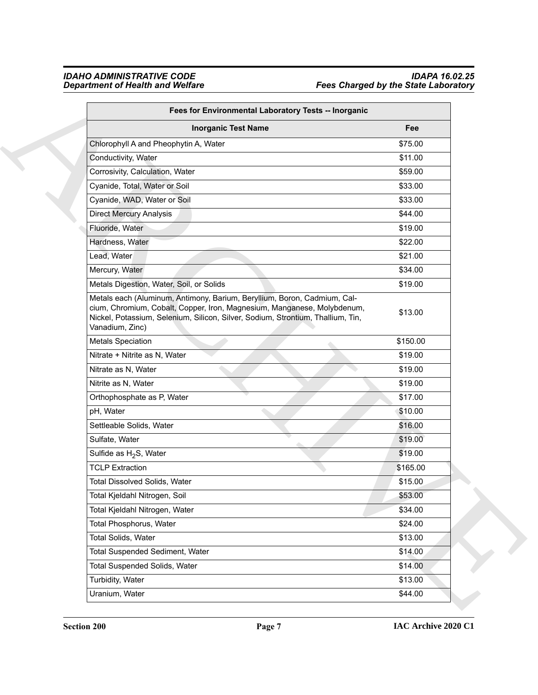| Fees for Environmental Laboratory Tests -- Inorganic                                                                                                                                                                                                      |          |
|-----------------------------------------------------------------------------------------------------------------------------------------------------------------------------------------------------------------------------------------------------------|----------|
| <b>Inorganic Test Name</b>                                                                                                                                                                                                                                | Fee      |
| Chlorophyll A and Pheophytin A, Water                                                                                                                                                                                                                     | \$75.00  |
| Conductivity, Water                                                                                                                                                                                                                                       | \$11.00  |
| Corrosivity, Calculation, Water                                                                                                                                                                                                                           | \$59.00  |
| Cyanide, Total, Water or Soil                                                                                                                                                                                                                             | \$33.00  |
| Cyanide, WAD, Water or Soil                                                                                                                                                                                                                               | \$33.00  |
| <b>Direct Mercury Analysis</b>                                                                                                                                                                                                                            | \$44.00  |
| Fluoride, Water                                                                                                                                                                                                                                           | \$19.00  |
| Hardness, Water                                                                                                                                                                                                                                           | \$22.00  |
| Lead, Water                                                                                                                                                                                                                                               | \$21.00  |
| Mercury, Water                                                                                                                                                                                                                                            | \$34.00  |
| Metals Digestion, Water, Soil, or Solids                                                                                                                                                                                                                  | \$19.00  |
| Metals each (Aluminum, Antimony, Barium, Beryllium, Boron, Cadmium, Cal-<br>cium, Chromium, Cobalt, Copper, Iron, Magnesium, Manganese, Molybdenum,<br>Nickel, Potassium, Selenium, Silicon, Silver, Sodium, Strontium, Thallium, Tin,<br>Vanadium, Zinc) | \$13.00  |
| <b>Metals Speciation</b>                                                                                                                                                                                                                                  | \$150.00 |
| Nitrate + Nitrite as N, Water                                                                                                                                                                                                                             | \$19.00  |
| Nitrate as N, Water                                                                                                                                                                                                                                       | \$19.00  |
| Nitrite as N, Water                                                                                                                                                                                                                                       | \$19.00  |
| Orthophosphate as P, Water                                                                                                                                                                                                                                | \$17.00  |
| pH, Water                                                                                                                                                                                                                                                 | \$10.00  |
| Settleable Solids, Water                                                                                                                                                                                                                                  | \$16.00  |
| Sulfate, Water                                                                                                                                                                                                                                            | \$19.00  |
| Sulfide as $H_2S$ , Water                                                                                                                                                                                                                                 | \$19.00  |
| <b>TCLP Extraction</b>                                                                                                                                                                                                                                    | \$165.00 |
| <b>Total Dissolved Solids, Water</b>                                                                                                                                                                                                                      | \$15.00  |
| Total Kjeldahl Nitrogen, Soil                                                                                                                                                                                                                             | \$53.00  |
| Total Kjeldahl Nitrogen, Water                                                                                                                                                                                                                            | \$34.00  |
| Total Phosphorus, Water                                                                                                                                                                                                                                   | \$24.00  |
| Total Solids, Water                                                                                                                                                                                                                                       | \$13.00  |
| <b>Total Suspended Sediment, Water</b>                                                                                                                                                                                                                    | \$14.00  |
| Total Suspended Solids, Water                                                                                                                                                                                                                             | \$14.00  |
| Turbidity, Water                                                                                                                                                                                                                                          | \$13.00  |
| Uranium, Water                                                                                                                                                                                                                                            | \$44.00  |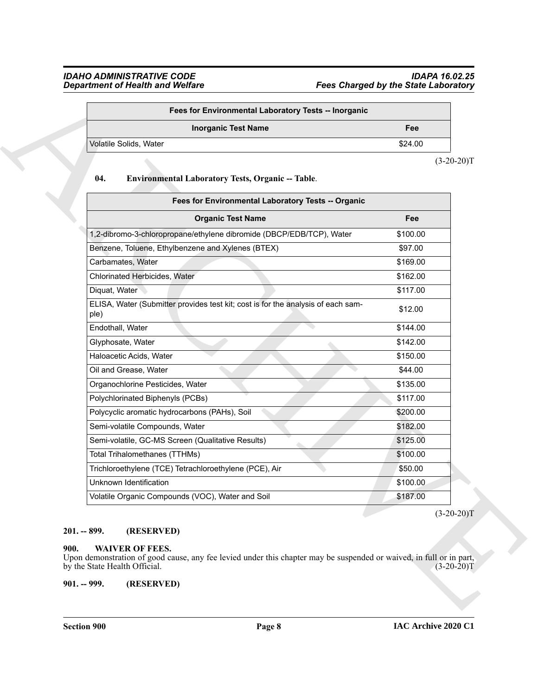| Fees for Environmental Laboratory Tests -- Inorganic |         |
|------------------------------------------------------|---------|
| <b>Inorganic Test Name</b>                           | Fee     |
| Volatile Solids, Water                               | \$24.00 |
|                                                      |         |

#### <span id="page-7-3"></span>**04. Environmental Laboratory Tests, Organic -- Table**.

| \$24.00<br>$(3-20-20)T$<br>Fee<br>\$100.00<br>\$97.00<br>\$169.00<br>\$162.00                                       |
|---------------------------------------------------------------------------------------------------------------------|
|                                                                                                                     |
|                                                                                                                     |
|                                                                                                                     |
|                                                                                                                     |
|                                                                                                                     |
|                                                                                                                     |
|                                                                                                                     |
|                                                                                                                     |
| \$117.00                                                                                                            |
| \$12.00                                                                                                             |
| \$144.00                                                                                                            |
| \$142.00                                                                                                            |
| \$150.00                                                                                                            |
| \$44.00                                                                                                             |
| \$135.00                                                                                                            |
| \$117.00                                                                                                            |
| \$200.00                                                                                                            |
| \$182.00                                                                                                            |
| \$125.00                                                                                                            |
| \$100.00                                                                                                            |
| \$50.00                                                                                                             |
| \$100.00                                                                                                            |
| \$187.00                                                                                                            |
| Upon demonstration of good cause, any fee levied under this chapter may be suspended or waived, in full or in part, |

#### <span id="page-7-0"></span>**201. -- 899. (RESERVED)**

#### <span id="page-7-4"></span><span id="page-7-2"></span><span id="page-7-1"></span>**900. WAIVER OF FEES.**